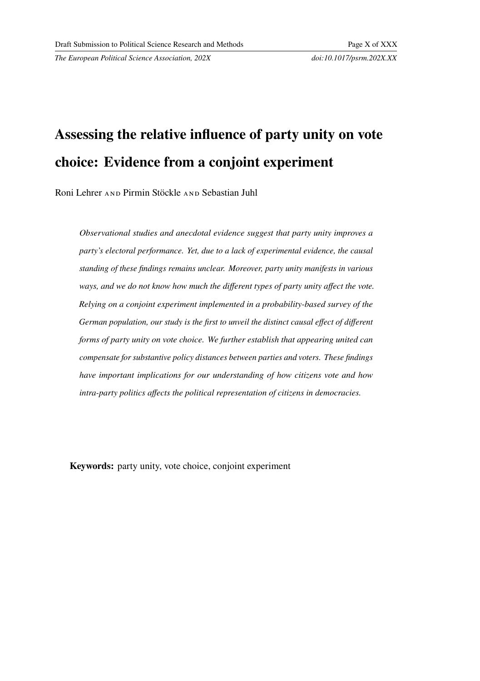*The European Political Science Association, 202X doi:10.1017/psrm.202X.XX*

# **Assessing the relative influence of party unity on vote choice: Evidence from a conjoint experiment**

Roni Lehrer AND Pirmin Stöckle AND Sebastian Juhl

*Observational studies and anecdotal evidence suggest that party unity improves a party's electoral performance. Yet, due to a lack of experimental evidence, the causal standing of these findings remains unclear. Moreover, party unity manifests in various ways, and we do not know how much the different types of party unity affect the vote. Relying on a conjoint experiment implemented in a probability-based survey of the German population, our study is the first to unveil the distinct causal effect of different forms of party unity on vote choice. We further establish that appearing united can compensate for substantive policy distances between parties and voters. These findings have important implications for our understanding of how citizens vote and how intra-party politics affects the political representation of citizens in democracies.*

**Keywords:** party unity, vote choice, conjoint experiment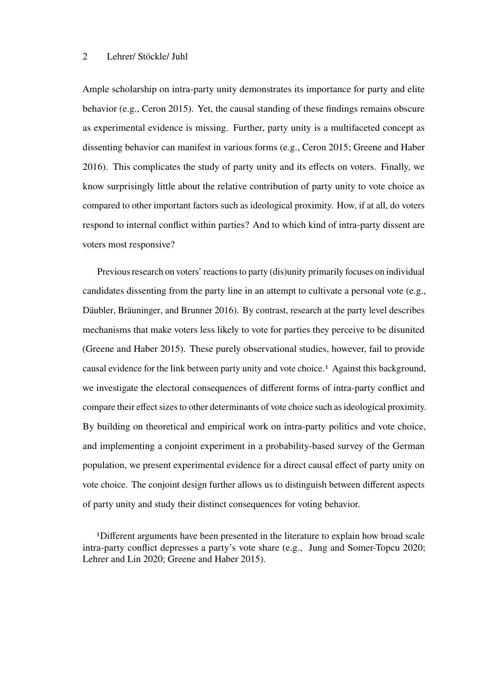Ample scholarship on intra-party unity demonstrates its importance for party and elite behavior (e.g., Ceron 2015). Yet, the causal standing of these findings remains obscure as experimental evidence is missing. Further, party unity is a multifaceted concept as dissenting behavior can manifest in various forms (e.g., Ceron 2015; Greene and Haber 2016). This complicates the study of party unity and its effects on voters. Finally, we know surprisingly little about the relative contribution of party unity to vote choice as compared to other important factors such as ideological proximity. How, if at all, do voters respond to internal conflict within parties? And to which kind of intra-party dissent are voters most responsive?

Previous research on voters' reactions to party (dis)unity primarily focuses on individual candidates dissenting from the party line in an attempt to cultivate a personal vote (e.g., Däubler, Bräuninger, and Brunner 2016). By contrast, research at the party level describes mechanisms that make voters less likely to vote for parties they perceive to be disunited (Greene and Haber 2015). These purely observational studies, however, fail to provide causal evidence for the link between party unity and vote choice.1 Against this background, we investigate the electoral consequences of different forms of intra-party conflict and compare their effect sizes to other determinants of vote choice such as ideological proximity. By building on theoretical and empirical work on intra-party politics and vote choice, and implementing a conjoint experiment in a probability-based survey of the German population, we present experimental evidence for a direct causal effect of party unity on vote choice. The conjoint design further allows us to distinguish between different aspects of party unity and study their distinct consequences for voting behavior.

1Different arguments have been presented in the literature to explain how broad scale intra-party conflict depresses a party's vote share (e.g., Jung and Somer-Topcu 2020; Lehrer and Lin 2020; Greene and Haber 2015).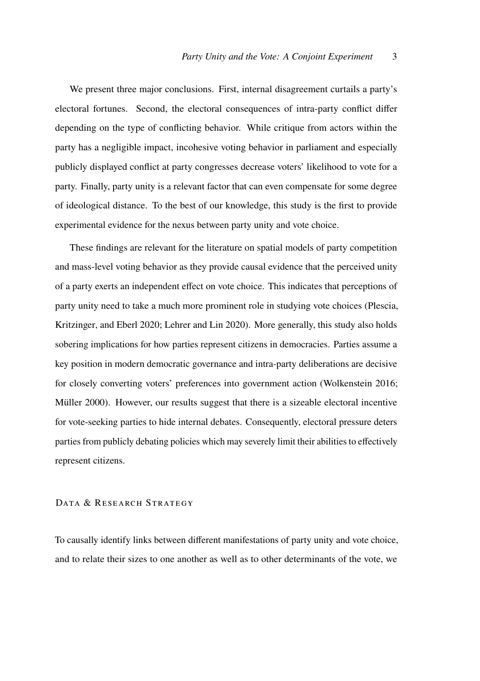We present three major conclusions. First, internal disagreement curtails a party's electoral fortunes. Second, the electoral consequences of intra-party conflict differ depending on the type of conflicting behavior. While critique from actors within the party has a negligible impact, incohesive voting behavior in parliament and especially publicly displayed conflict at party congresses decrease voters' likelihood to vote for a party. Finally, party unity is a relevant factor that can even compensate for some degree of ideological distance. To the best of our knowledge, this study is the first to provide experimental evidence for the nexus between party unity and vote choice.

These findings are relevant for the literature on spatial models of party competition and mass-level voting behavior as they provide causal evidence that the perceived unity of a party exerts an independent effect on vote choice. This indicates that perceptions of party unity need to take a much more prominent role in studying vote choices (Plescia, Kritzinger, and Eberl 2020; Lehrer and Lin 2020). More generally, this study also holds sobering implications for how parties represent citizens in democracies. Parties assume a key position in modern democratic governance and intra-party deliberations are decisive for closely converting voters' preferences into government action (Wolkenstein 2016; Müller 2000). However, our results suggest that there is a sizeable electoral incentive for vote-seeking parties to hide internal debates. Consequently, electoral pressure deters parties from publicly debating policies which may severely limit their abilities to effectively represent citizens.

#### DATA & RESEARCH STRATEGY

To causally identify links between different manifestations of party unity and vote choice, and to relate their sizes to one another as well as to other determinants of the vote, we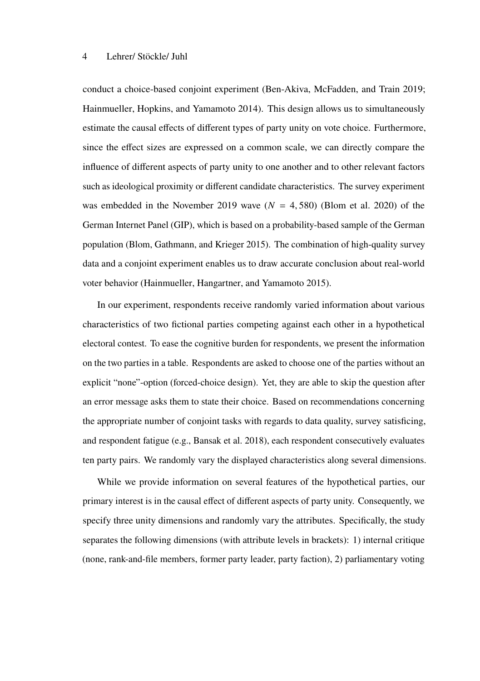conduct a choice-based conjoint experiment (Ben-Akiva, McFadden, and Train 2019; Hainmueller, Hopkins, and Yamamoto 2014). This design allows us to simultaneously estimate the causal effects of different types of party unity on vote choice. Furthermore, since the effect sizes are expressed on a common scale, we can directly compare the influence of different aspects of party unity to one another and to other relevant factors such as ideological proximity or different candidate characteristics. The survey experiment was embedded in the November 2019 wave  $(N = 4, 580)$  (Blom et al. 2020) of the German Internet Panel (GIP), which is based on a probability-based sample of the German population (Blom, Gathmann, and Krieger 2015). The combination of high-quality survey data and a conjoint experiment enables us to draw accurate conclusion about real-world voter behavior (Hainmueller, Hangartner, and Yamamoto 2015).

In our experiment, respondents receive randomly varied information about various characteristics of two fictional parties competing against each other in a hypothetical electoral contest. To ease the cognitive burden for respondents, we present the information on the two parties in a table. Respondents are asked to choose one of the parties without an explicit "none"-option (forced-choice design). Yet, they are able to skip the question after an error message asks them to state their choice. Based on recommendations concerning the appropriate number of conjoint tasks with regards to data quality, survey satisficing, and respondent fatigue (e.g., Bansak et al. 2018), each respondent consecutively evaluates ten party pairs. We randomly vary the displayed characteristics along several dimensions.

While we provide information on several features of the hypothetical parties, our primary interest is in the causal effect of different aspects of party unity. Consequently, we specify three unity dimensions and randomly vary the attributes. Specifically, the study separates the following dimensions (with attribute levels in brackets): 1) internal critique (none, rank-and-file members, former party leader, party faction), 2) parliamentary voting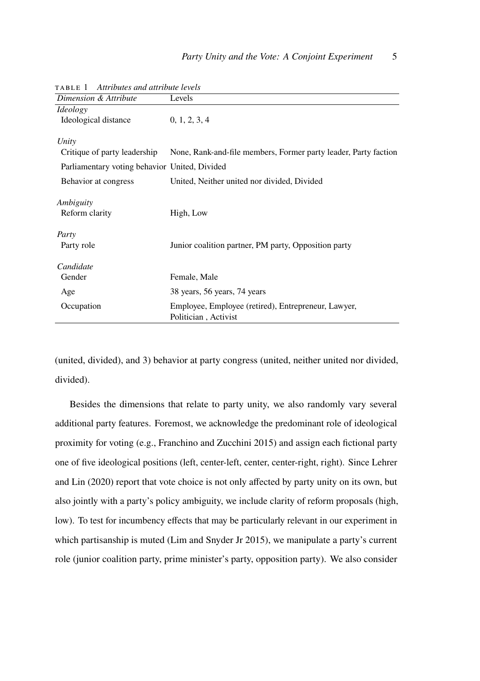| Dimension & Attribute                         | Levels                                                          |
|-----------------------------------------------|-----------------------------------------------------------------|
| <i>Ideology</i>                               |                                                                 |
| Ideological distance                          | 0, 1, 2, 3, 4                                                   |
| Unity                                         |                                                                 |
| Critique of party leadership                  | None, Rank-and-file members, Former party leader, Party faction |
| Parliamentary voting behavior United, Divided |                                                                 |
| Behavior at congress                          | United, Neither united nor divided, Divided                     |
| Ambiguity                                     |                                                                 |
| Reform clarity                                | High, Low                                                       |
| Party                                         |                                                                 |
| Party role                                    | Junior coalition partner, PM party, Opposition party            |
| Candidate                                     |                                                                 |
| Gender                                        | Female, Male                                                    |
| Age                                           | 38 years, 56 years, 74 years                                    |
| Occupation                                    | Employee, Employee (retired), Entrepreneur, Lawyer,             |
|                                               | Politician, Activist                                            |

ta b l e 1 *Attributes and attribute levels*

(united, divided), and 3) behavior at party congress (united, neither united nor divided, divided).

Besides the dimensions that relate to party unity, we also randomly vary several additional party features. Foremost, we acknowledge the predominant role of ideological proximity for voting (e.g., Franchino and Zucchini 2015) and assign each fictional party one of five ideological positions (left, center-left, center, center-right, right). Since Lehrer and Lin (2020) report that vote choice is not only affected by party unity on its own, but also jointly with a party's policy ambiguity, we include clarity of reform proposals (high, low). To test for incumbency effects that may be particularly relevant in our experiment in which partisanship is muted (Lim and Snyder Jr 2015), we manipulate a party's current role (junior coalition party, prime minister's party, opposition party). We also consider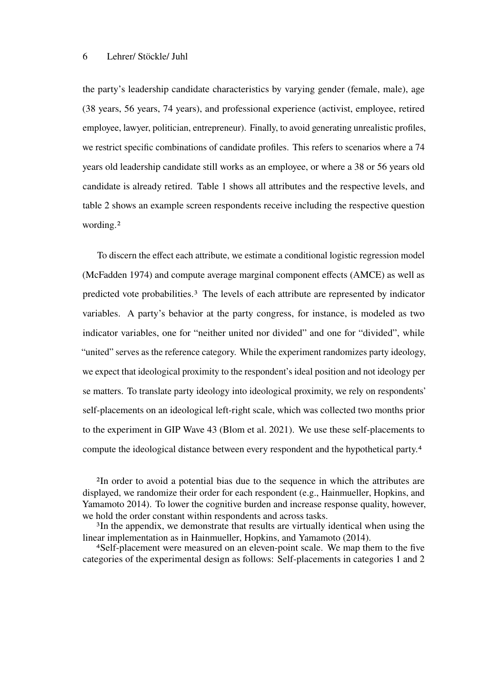the party's leadership candidate characteristics by varying gender (female, male), age (38 years, 56 years, 74 years), and professional experience (activist, employee, retired employee, lawyer, politician, entrepreneur). Finally, to avoid generating unrealistic profiles, we restrict specific combinations of candidate profiles. This refers to scenarios where a 74 years old leadership candidate still works as an employee, or where a 38 or 56 years old candidate is already retired. Table 1 shows all attributes and the respective levels, and table 2 shows an example screen respondents receive including the respective question wording.2

To discern the effect each attribute, we estimate a conditional logistic regression model (McFadden 1974) and compute average marginal component effects (AMCE) as well as predicted vote probabilities.3 The levels of each attribute are represented by indicator variables. A party's behavior at the party congress, for instance, is modeled as two indicator variables, one for "neither united nor divided" and one for "divided", while "united" serves as the reference category. While the experiment randomizes party ideology, we expect that ideological proximity to the respondent's ideal position and not ideology per se matters. To translate party ideology into ideological proximity, we rely on respondents' self-placements on an ideological left-right scale, which was collected two months prior to the experiment in GIP Wave 43 (Blom et al. 2021). We use these self-placements to compute the ideological distance between every respondent and the hypothetical party.4

2In order to avoid a potential bias due to the sequence in which the attributes are displayed, we randomize their order for each respondent (e.g., Hainmueller, Hopkins, and Yamamoto 2014). To lower the cognitive burden and increase response quality, however, we hold the order constant within respondents and across tasks.

3In the appendix, we demonstrate that results are virtually identical when using the linear implementation as in Hainmueller, Hopkins, and Yamamoto (2014).

4Self-placement were measured on an eleven-point scale. We map them to the five categories of the experimental design as follows: Self-placements in categories 1 and 2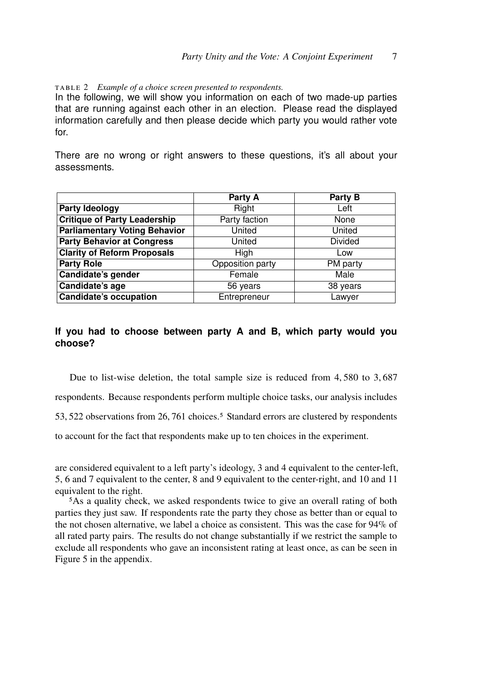TABLE 2 *Example of a choice screen presented to respondents.* 

In the following, we will show you information on each of two made-up parties that are running against each other in an election. Please read the displayed information carefully and then please decide which party you would rather vote for.

There are no wrong or right answers to these questions, it's all about your assessments.

|                                      | Party A              | Party B        |  |
|--------------------------------------|----------------------|----------------|--|
| <b>Party Ideology</b>                | Right                | Left           |  |
| <b>Critique of Party Leadership</b>  | Party faction        | None           |  |
| <b>Parliamentary Voting Behavior</b> | United               | United         |  |
| <b>Party Behavior at Congress</b>    | United               | <b>Divided</b> |  |
| <b>Clarity of Reform Proposals</b>   | High                 | Low            |  |
| <b>Party Role</b>                    | Opposition party     | PM party       |  |
| Candidate's gender                   | Female<br>Male       |                |  |
| Candidate's age                      | 56 years<br>38 years |                |  |
| <b>Candidate's occupation</b>        | Entrepreneur         | Lawyer         |  |

# **If you had to choose between party A and B, which party would you choose?**

Due to list-wise deletion, the total sample size is reduced from 4, 580 to 3, 687 respondents. Because respondents perform multiple choice tasks, our analysis includes 53, 522 observations from 26, 761 choices.<sup>5</sup> Standard errors are clustered by respondents to account for the fact that respondents make up to ten choices in the experiment.

are considered equivalent to a left party's ideology, 3 and 4 equivalent to the center-left, 5, 6 and 7 equivalent to the center, 8 and 9 equivalent to the center-right, and 10 and 11 equivalent to the right.

5As a quality check, we asked respondents twice to give an overall rating of both parties they just saw. If respondents rate the party they chose as better than or equal to the not chosen alternative, we label a choice as consistent. This was the case for 94% of all rated party pairs. The results do not change substantially if we restrict the sample to exclude all respondents who gave an inconsistent rating at least once, as can be seen in Figure 5 in the appendix.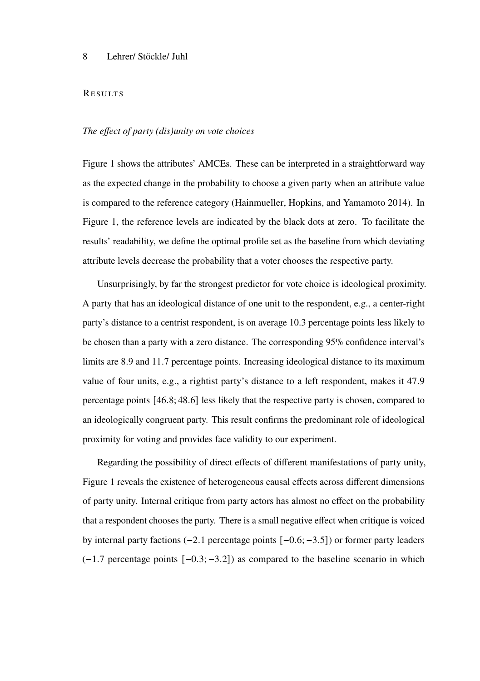#### **RESULTS**

#### *The effect of party (dis)unity on vote choices*

Figure 1 shows the attributes' AMCEs. These can be interpreted in a straightforward way as the expected change in the probability to choose a given party when an attribute value is compared to the reference category (Hainmueller, Hopkins, and Yamamoto 2014). In Figure 1, the reference levels are indicated by the black dots at zero. To facilitate the results' readability, we define the optimal profile set as the baseline from which deviating attribute levels decrease the probability that a voter chooses the respective party.

Unsurprisingly, by far the strongest predictor for vote choice is ideological proximity. A party that has an ideological distance of one unit to the respondent, e.g., a center-right party's distance to a centrist respondent, is on average 10.3 percentage points less likely to be chosen than a party with a zero distance. The corresponding 95% confidence interval's limits are 8.9 and 11.7 percentage points. Increasing ideological distance to its maximum value of four units, e.g., a rightist party's distance to a left respondent, makes it 47.9 percentage points [46.8; 48.6] less likely that the respective party is chosen, compared to an ideologically congruent party. This result confirms the predominant role of ideological proximity for voting and provides face validity to our experiment.

Regarding the possibility of direct effects of different manifestations of party unity, Figure 1 reveals the existence of heterogeneous causal effects across different dimensions of party unity. Internal critique from party actors has almost no effect on the probability that a respondent chooses the party. There is a small negative effect when critique is voiced by internal party factions  $(-2.1$  percentage points  $[-0.6; -3.5]$ ) or former party leaders (−1.7 percentage points [−0.3; −3.2]) as compared to the baseline scenario in which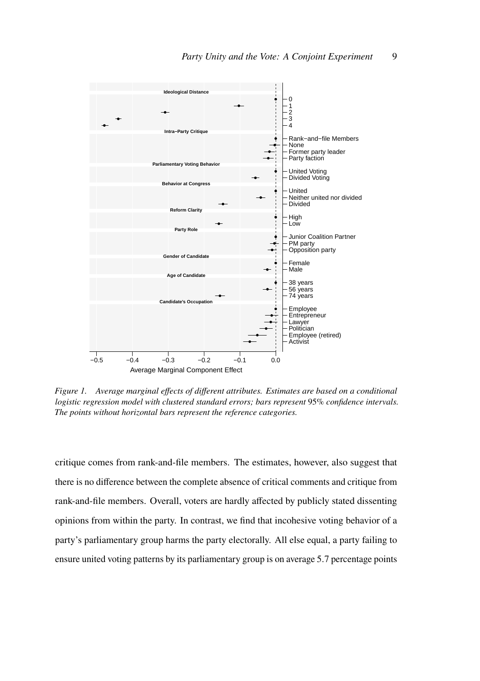

*Figure 1. Average marginal effects of different attributes. Estimates are based on a conditional logistic regression model with clustered standard errors; bars represent* 95% *confidence intervals. The points without horizontal bars represent the reference categories.*

critique comes from rank-and-file members. The estimates, however, also suggest that there is no difference between the complete absence of critical comments and critique from rank-and-file members. Overall, voters are hardly affected by publicly stated dissenting opinions from within the party. In contrast, we find that incohesive voting behavior of a party's parliamentary group harms the party electorally. All else equal, a party failing to ensure united voting patterns by its parliamentary group is on average 5.7 percentage points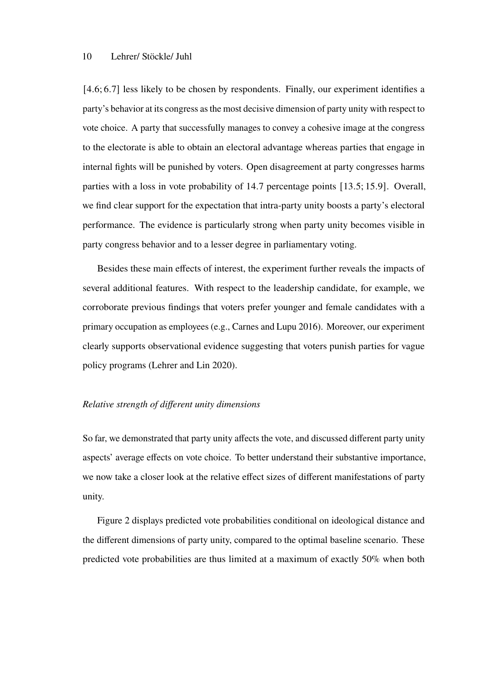[4.6; 6.7] less likely to be chosen by respondents. Finally, our experiment identifies a party's behavior at its congress as the most decisive dimension of party unity with respect to vote choice. A party that successfully manages to convey a cohesive image at the congress to the electorate is able to obtain an electoral advantage whereas parties that engage in internal fights will be punished by voters. Open disagreement at party congresses harms parties with a loss in vote probability of 14.7 percentage points [13.5; 15.9]. Overall, we find clear support for the expectation that intra-party unity boosts a party's electoral performance. The evidence is particularly strong when party unity becomes visible in party congress behavior and to a lesser degree in parliamentary voting.

Besides these main effects of interest, the experiment further reveals the impacts of several additional features. With respect to the leadership candidate, for example, we corroborate previous findings that voters prefer younger and female candidates with a primary occupation as employees (e.g., Carnes and Lupu 2016). Moreover, our experiment clearly supports observational evidence suggesting that voters punish parties for vague policy programs (Lehrer and Lin 2020).

#### *Relative strength of different unity dimensions*

So far, we demonstrated that party unity affects the vote, and discussed different party unity aspects' average effects on vote choice. To better understand their substantive importance, we now take a closer look at the relative effect sizes of different manifestations of party unity.

Figure 2 displays predicted vote probabilities conditional on ideological distance and the different dimensions of party unity, compared to the optimal baseline scenario. These predicted vote probabilities are thus limited at a maximum of exactly 50% when both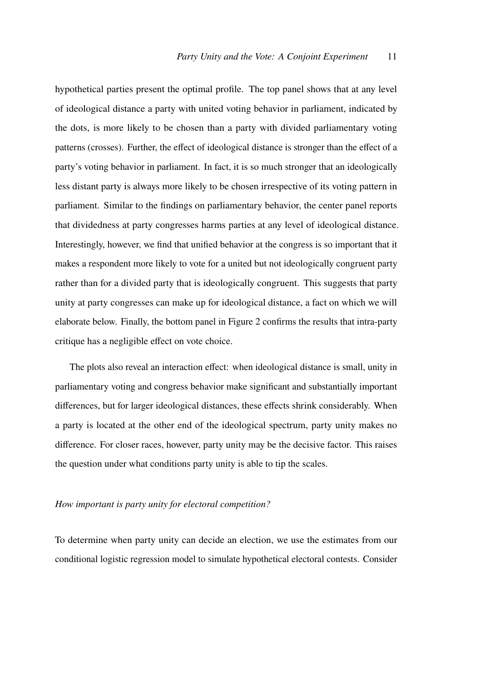hypothetical parties present the optimal profile. The top panel shows that at any level of ideological distance a party with united voting behavior in parliament, indicated by the dots, is more likely to be chosen than a party with divided parliamentary voting patterns (crosses). Further, the effect of ideological distance is stronger than the effect of a party's voting behavior in parliament. In fact, it is so much stronger that an ideologically less distant party is always more likely to be chosen irrespective of its voting pattern in parliament. Similar to the findings on parliamentary behavior, the center panel reports that dividedness at party congresses harms parties at any level of ideological distance. Interestingly, however, we find that unified behavior at the congress is so important that it makes a respondent more likely to vote for a united but not ideologically congruent party rather than for a divided party that is ideologically congruent. This suggests that party unity at party congresses can make up for ideological distance, a fact on which we will elaborate below. Finally, the bottom panel in Figure 2 confirms the results that intra-party critique has a negligible effect on vote choice.

The plots also reveal an interaction effect: when ideological distance is small, unity in parliamentary voting and congress behavior make significant and substantially important differences, but for larger ideological distances, these effects shrink considerably. When a party is located at the other end of the ideological spectrum, party unity makes no difference. For closer races, however, party unity may be the decisive factor. This raises the question under what conditions party unity is able to tip the scales.

#### *How important is party unity for electoral competition?*

To determine when party unity can decide an election, we use the estimates from our conditional logistic regression model to simulate hypothetical electoral contests. Consider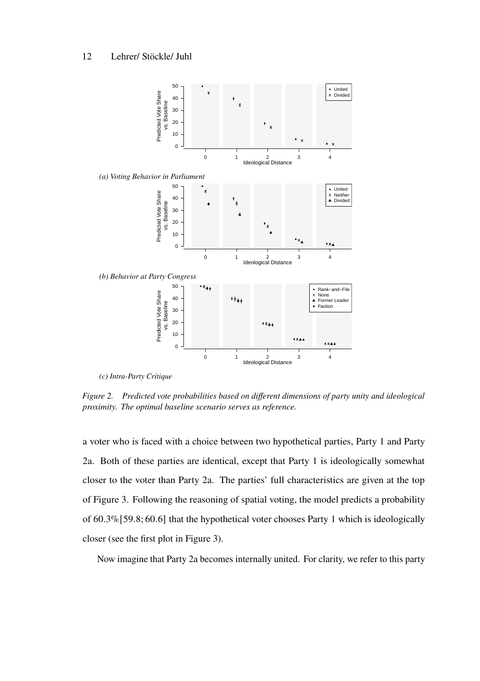

*(c) Intra-Party Critique*

*Figure 2. Predicted vote probabilities based on different dimensions of party unity and ideological proximity. The optimal baseline scenario serves as reference.*

a voter who is faced with a choice between two hypothetical parties, Party 1 and Party 2a. Both of these parties are identical, except that Party 1 is ideologically somewhat closer to the voter than Party 2a. The parties' full characteristics are given at the top of Figure 3. Following the reasoning of spatial voting, the model predicts a probability of 60.3%[59.8; 60.6] that the hypothetical voter chooses Party 1 which is ideologically closer (see the first plot in Figure 3).

Now imagine that Party 2a becomes internally united. For clarity, we refer to this party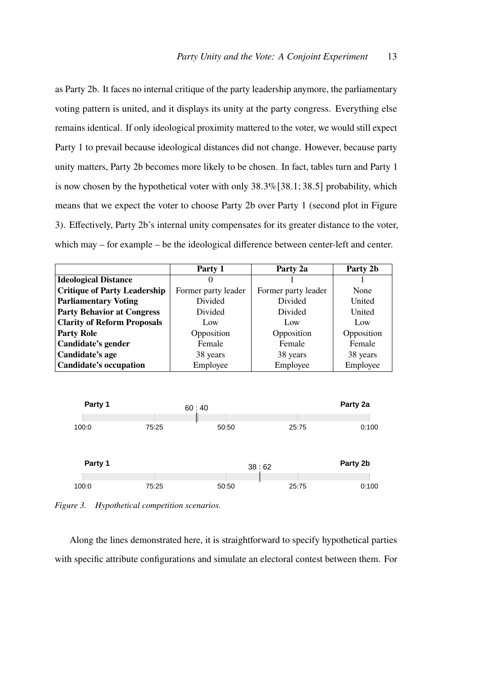as Party 2b. It faces no internal critique of the party leadership anymore, the parliamentary voting pattern is united, and it displays its unity at the party congress. Everything else remains identical. If only ideological proximity mattered to the voter, we would still expect Party 1 to prevail because ideological distances did not change. However, because party unity matters, Party 2b becomes more likely to be chosen. In fact, tables turn and Party 1 is now chosen by the hypothetical voter with only  $38.3\%$  [38.1; 38.5] probability, which means that we expect the voter to choose Party 2b over Party 1 (second plot in Figure 3). Effectively, Party 2b's internal unity compensates for its greater distance to the voter, which may – for example – be the ideological difference between center-left and center.

|                                     | Party 1             | Party 2a            | Party 2b   |
|-------------------------------------|---------------------|---------------------|------------|
| <b>Ideological Distance</b>         |                     |                     |            |
| <b>Critique of Party Leadership</b> | Former party leader | Former party leader | None       |
| <b>Parliamentary Voting</b>         | Divided             | Divided             | United     |
| <b>Party Behavior at Congress</b>   | Divided             | Divided             | United     |
| <b>Clarity of Reform Proposals</b>  | Low                 | Low                 | Low        |
| <b>Party Role</b>                   | Opposition          | Opposition          | Opposition |
| Candidate's gender                  | Female              | Female              | Female     |
| Candidate's age                     | 38 years            | 38 years            | 38 years   |
| Candidate's occupation              | Employee            | Employee            | Employee   |



*Figure 3. Hypothetical competition scenarios.*

Along the lines demonstrated here, it is straightforward to specify hypothetical parties with specific attribute configurations and simulate an electoral contest between them. For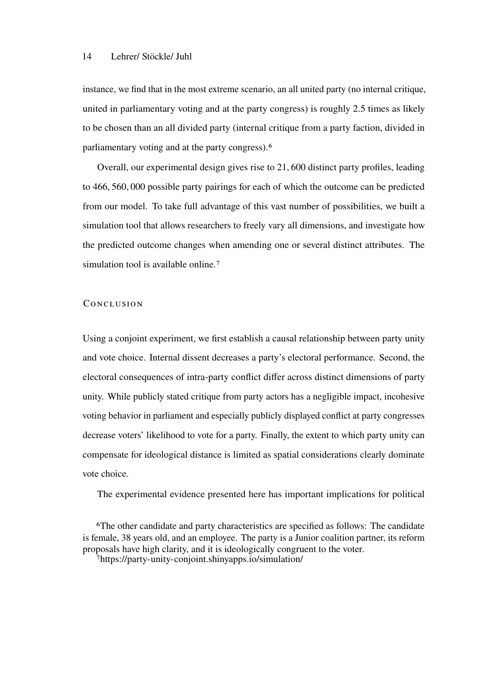instance, we find that in the most extreme scenario, an all united party (no internal critique, united in parliamentary voting and at the party congress) is roughly 2.5 times as likely to be chosen than an all divided party (internal critique from a party faction, divided in parliamentary voting and at the party congress).6

Overall, our experimental design gives rise to 21, 600 distinct party profiles, leading to 466, 560, 000 possible party pairings for each of which the outcome can be predicted from our model. To take full advantage of this vast number of possibilities, we built a simulation tool that allows researchers to freely vary all dimensions, and investigate how the predicted outcome changes when amending one or several distinct attributes. The simulation tool is available online.<sup>7</sup>

#### CONCLUSION

Using a conjoint experiment, we first establish a causal relationship between party unity and vote choice. Internal dissent decreases a party's electoral performance. Second, the electoral consequences of intra-party conflict differ across distinct dimensions of party unity. While publicly stated critique from party actors has a negligible impact, incohesive voting behavior in parliament and especially publicly displayed conflict at party congresses decrease voters' likelihood to vote for a party. Finally, the extent to which party unity can compensate for ideological distance is limited as spatial considerations clearly dominate vote choice.

The experimental evidence presented here has important implications for political

7https://party-unity-conjoint.shinyapps.io/simulation/

<sup>6</sup>The other candidate and party characteristics are specified as follows: The candidate is female, 38 years old, and an employee. The party is a Junior coalition partner, its reform proposals have high clarity, and it is ideologically congruent to the voter.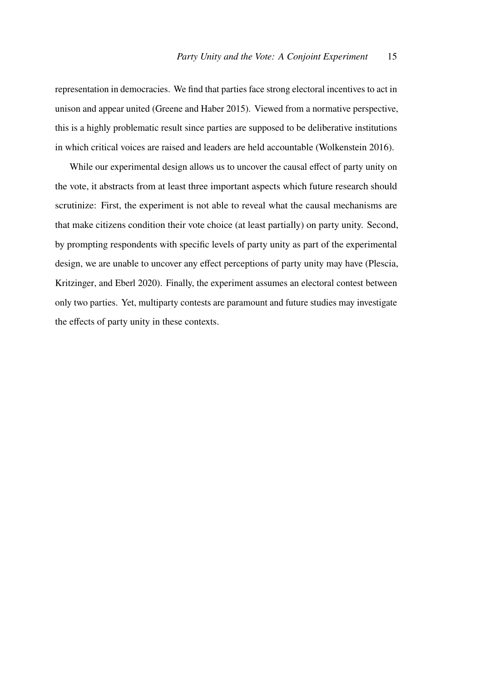representation in democracies. We find that parties face strong electoral incentives to act in unison and appear united (Greene and Haber 2015). Viewed from a normative perspective, this is a highly problematic result since parties are supposed to be deliberative institutions in which critical voices are raised and leaders are held accountable (Wolkenstein 2016).

While our experimental design allows us to uncover the causal effect of party unity on the vote, it abstracts from at least three important aspects which future research should scrutinize: First, the experiment is not able to reveal what the causal mechanisms are that make citizens condition their vote choice (at least partially) on party unity. Second, by prompting respondents with specific levels of party unity as part of the experimental design, we are unable to uncover any effect perceptions of party unity may have (Plescia, Kritzinger, and Eberl 2020). Finally, the experiment assumes an electoral contest between only two parties. Yet, multiparty contests are paramount and future studies may investigate the effects of party unity in these contexts.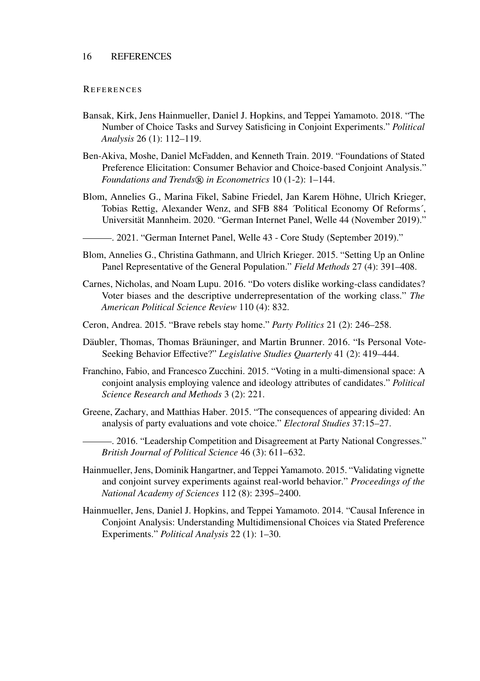#### **REFERENCES**

- Bansak, Kirk, Jens Hainmueller, Daniel J. Hopkins, and Teppei Yamamoto. 2018. "The Number of Choice Tasks and Survey Satisficing in Conjoint Experiments." *Political Analysis* 26 (1): 112–119.
- Ben-Akiva, Moshe, Daniel McFadden, and Kenneth Train. 2019. "Foundations of Stated Preference Elicitation: Consumer Behavior and Choice-based Conjoint Analysis." *Foundations and Trends® in Econometrics* 10 (1-2): 1-144.
- Blom, Annelies G., Marina Fikel, Sabine Friedel, Jan Karem Höhne, Ulrich Krieger, Tobias Rettig, Alexander Wenz, and SFB 884 ´Political Economy Of Reforms´, Universität Mannheim. 2020. "German Internet Panel, Welle 44 (November 2019)."
	- . 2021. "German Internet Panel, Welle 43 Core Study (September 2019)."
- Blom, Annelies G., Christina Gathmann, and Ulrich Krieger. 2015. "Setting Up an Online Panel Representative of the General Population." *Field Methods* 27 (4): 391–408.
- Carnes, Nicholas, and Noam Lupu. 2016. "Do voters dislike working-class candidates? Voter biases and the descriptive underrepresentation of the working class." *The American Political Science Review* 110 (4): 832.
- Ceron, Andrea. 2015. "Brave rebels stay home." *Party Politics* 21 (2): 246–258.
- Däubler, Thomas, Thomas Bräuninger, and Martin Brunner. 2016. "Is Personal Vote-Seeking Behavior Effective?" *Legislative Studies Quarterly* 41 (2): 419–444.
- Franchino, Fabio, and Francesco Zucchini. 2015. "Voting in a multi-dimensional space: A conjoint analysis employing valence and ideology attributes of candidates." *Political Science Research and Methods* 3 (2): 221.
- Greene, Zachary, and Matthias Haber. 2015. "The consequences of appearing divided: An analysis of party evaluations and vote choice." *Electoral Studies* 37:15–27.
	- . 2016. "Leadership Competition and Disagreement at Party National Congresses." *British Journal of Political Science* 46 (3): 611–632.
- Hainmueller, Jens, Dominik Hangartner, and Teppei Yamamoto. 2015. "Validating vignette and conjoint survey experiments against real-world behavior." *Proceedings of the National Academy of Sciences* 112 (8): 2395–2400.
- Hainmueller, Jens, Daniel J. Hopkins, and Teppei Yamamoto. 2014. "Causal Inference in Conjoint Analysis: Understanding Multidimensional Choices via Stated Preference Experiments." *Political Analysis* 22 (1): 1–30.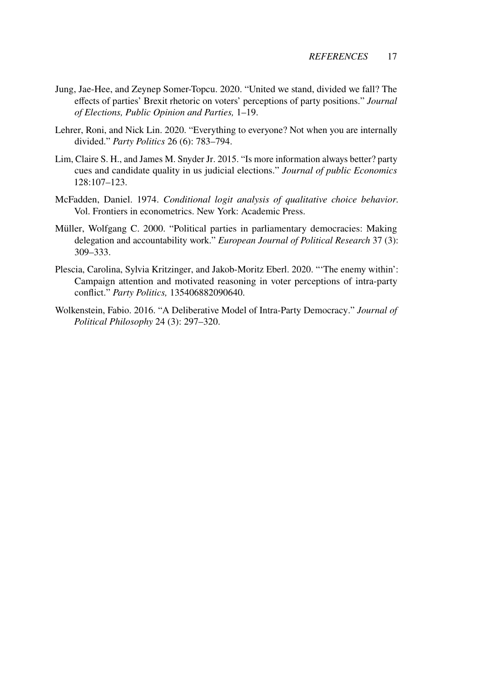- Jung, Jae-Hee, and Zeynep Somer-Topcu. 2020. "United we stand, divided we fall? The effects of parties' Brexit rhetoric on voters' perceptions of party positions." *Journal of Elections, Public Opinion and Parties,* 1–19.
- Lehrer, Roni, and Nick Lin. 2020. "Everything to everyone? Not when you are internally divided." *Party Politics* 26 (6): 783–794.
- Lim, Claire S. H., and James M. Snyder Jr. 2015. "Is more information always better? party cues and candidate quality in us judicial elections." *Journal of public Economics* 128:107–123.
- McFadden, Daniel. 1974. *Conditional logit analysis of qualitative choice behavior.* Vol. Frontiers in econometrics. New York: Academic Press.
- Müller, Wolfgang C. 2000. "Political parties in parliamentary democracies: Making delegation and accountability work." *European Journal of Political Research* 37 (3): 309–333.
- Plescia, Carolina, Sylvia Kritzinger, and Jakob-Moritz Eberl. 2020. "'The enemy within': Campaign attention and motivated reasoning in voter perceptions of intra-party conflict." *Party Politics,* 135406882090640.
- Wolkenstein, Fabio. 2016. "A Deliberative Model of Intra-Party Democracy." *Journal of Political Philosophy* 24 (3): 297–320.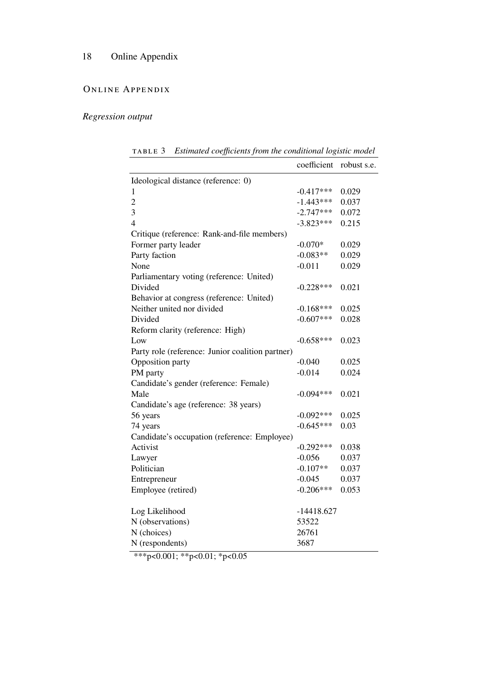# ONLINE APPENDIX

# *Regression output*

TABLE 3 *Estimated coefficients from the conditional logistic model* 

|                                                  | coefficient  | robust s.e. |
|--------------------------------------------------|--------------|-------------|
| Ideological distance (reference: 0)              |              |             |
| 1                                                | $-0.417***$  | 0.029       |
| $\overline{c}$                                   | $-1.443***$  | 0.037       |
| 3                                                | $-2.747***$  | 0.072       |
| $\overline{4}$                                   | $-3.823***$  | 0.215       |
| Critique (reference: Rank-and-file members)      |              |             |
| Former party leader                              | $-0.070*$    | 0.029       |
| Party faction                                    | $-0.083**$   | 0.029       |
| None                                             | $-0.011$     | 0.029       |
| Parliamentary voting (reference: United)         |              |             |
| Divided                                          | $-0.228***$  | 0.021       |
| Behavior at congress (reference: United)         |              |             |
| Neither united nor divided                       | $-0.168***$  | 0.025       |
| Divided                                          | $-0.607***$  | 0.028       |
| Reform clarity (reference: High)                 |              |             |
| Low                                              | $-0.658***$  | 0.023       |
| Party role (reference: Junior coalition partner) |              |             |
| Opposition party                                 | $-0.040$     | 0.025       |
| PM party                                         | $-0.014$     | 0.024       |
| Candidate's gender (reference: Female)           |              |             |
| Male                                             | $-0.094***$  | 0.021       |
| Candidate's age (reference: 38 years)            |              |             |
| 56 years                                         | $-0.092***$  | 0.025       |
| 74 years                                         | $-0.645***$  | 0.03        |
| Candidate's occupation (reference: Employee)     |              |             |
| Activist                                         | $-0.292***$  | 0.038       |
| Lawyer                                           | $-0.056$     | 0.037       |
| Politician                                       | $-0.107**$   | 0.037       |
| Entrepreneur                                     | $-0.045$     | 0.037       |
| Employee (retired)                               | $-0.206***$  | 0.053       |
|                                                  |              |             |
| Log Likelihood                                   | $-14418.627$ |             |
| N (observations)                                 | 53522        |             |
| N (choices)                                      | 26761        |             |
| N (respondents)                                  | 3687         |             |

\*\*\*p<0.001; \*\*p<0.01; \*p<0.05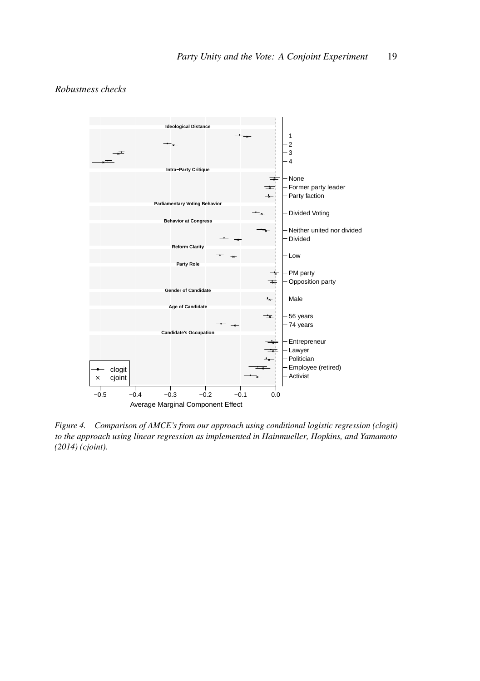

# *Robustness checks*

*Figure 4. Comparison of AMCE's from our approach using conditional logistic regression (clogit) to the approach using linear regression as implemented in Hainmueller, Hopkins, and Yamamoto (2014) (cjoint).*